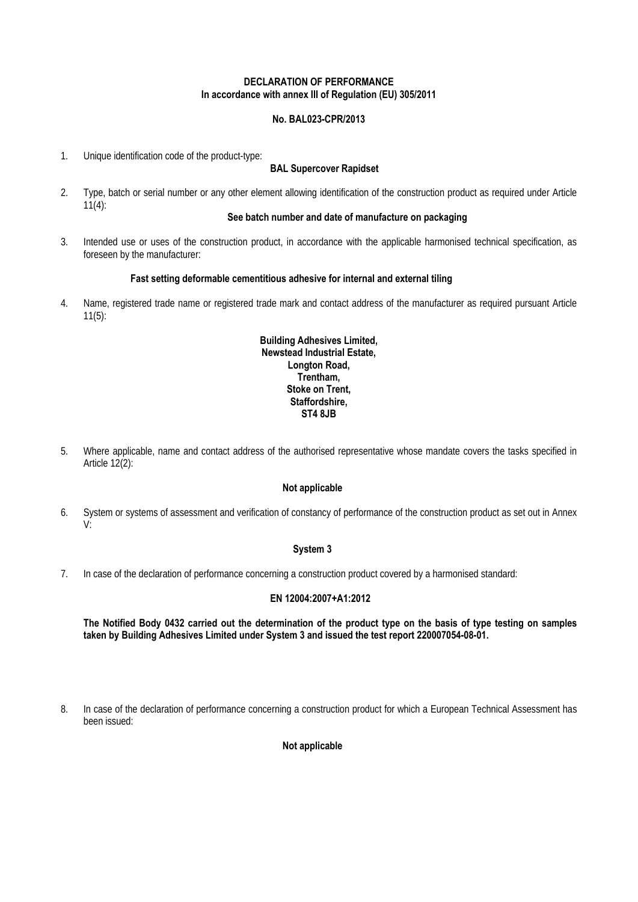### **DECLARATION OF PERFORMANCE In accordance with annex III of Regulation (EU) 305/2011**

# **No. BAL023-CPR/2013**

1. Unique identification code of the product-type:

## **BAL Supercover Rapidset**

2. Type, batch or serial number or any other element allowing identification of the construction product as required under Article  $11(4)$ :

## **See batch number and date of manufacture on packaging**

3. Intended use or uses of the construction product, in accordance with the applicable harmonised technical specification, as foreseen by the manufacturer:

### **Fast setting deformable cementitious adhesive for internal and external tiling**

4. Name, registered trade name or registered trade mark and contact address of the manufacturer as required pursuant Article 11(5):

### **Building Adhesives Limited, Newstead Industrial Estate, Longton Road, Trentham, Stoke on Trent, Staffordshire, ST4 8JB**

5. Where applicable, name and contact address of the authorised representative whose mandate covers the tasks specified in Article 12(2):

#### **Not applicable**

6. System or systems of assessment and verification of constancy of performance of the construction product as set out in Annex V:

#### **System 3**

7. In case of the declaration of performance concerning a construction product covered by a harmonised standard:

# **EN 12004:2007+A1:2012**

**The Notified Body 0432 carried out the determination of the product type on the basis of type testing on samples taken by Building Adhesives Limited under System 3 and issued the test report 220007054-08-01.** 

8. In case of the declaration of performance concerning a construction product for which a European Technical Assessment has been issued:

# **Not applicable**